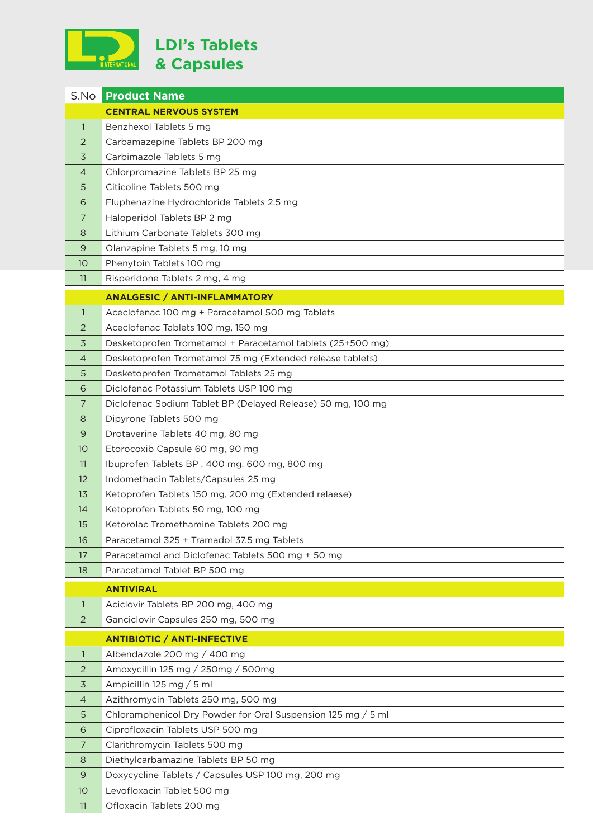

| S.No           | <b>Product Name</b>                                          |
|----------------|--------------------------------------------------------------|
|                | <b>CENTRAL NERVOUS SYSTEM</b>                                |
| $\mathbf{1}$   | Benzhexol Tablets 5 mg                                       |
| 2              | Carbamazepine Tablets BP 200 mg                              |
| 3              | Carbimazole Tablets 5 mg                                     |
| $\overline{4}$ | Chlorpromazine Tablets BP 25 mg                              |
| 5              | Citicoline Tablets 500 mg                                    |
| 6              | Fluphenazine Hydrochloride Tablets 2.5 mg                    |
| 7              | Haloperidol Tablets BP 2 mg                                  |
| 8              | Lithium Carbonate Tablets 300 mg                             |
| 9              | Olanzapine Tablets 5 mg, 10 mg                               |
| 10             | Phenytoin Tablets 100 mg                                     |
| 11             | Risperidone Tablets 2 mg, 4 mg                               |
|                | <b>ANALGESIC / ANTI-INFLAMMATORY</b>                         |
| $\mathbf{1}$   | Aceclofenac 100 mg + Paracetamol 500 mg Tablets              |
| 2              | Aceclofenac Tablets 100 mg, 150 mg                           |
| 3              | Desketoprofen Trometamol + Paracetamol tablets (25+500 mg)   |
| $\overline{4}$ | Desketoprofen Trometamol 75 mg (Extended release tablets)    |
| 5              | Desketoprofen Trometamol Tablets 25 mg                       |
| 6              | Diclofenac Potassium Tablets USP 100 mg                      |
| 7              | Diclofenac Sodium Tablet BP (Delayed Release) 50 mg, 100 mg  |
| 8              | Dipyrone Tablets 500 mg                                      |
| 9              | Drotaverine Tablets 40 mg, 80 mg                             |
| 10             | Etorocoxib Capsule 60 mg, 90 mg                              |
| 11             | Ibuprofen Tablets BP, 400 mg, 600 mg, 800 mg                 |
| 12             | Indomethacin Tablets/Capsules 25 mg                          |
| 13             | Ketoprofen Tablets 150 mg, 200 mg (Extended relaese)         |
| 14             | Ketoprofen Tablets 50 mg, 100 mg                             |
| 15             | Ketorolac Tromethamine Tablets 200 mg                        |
| 16             | Paracetamol 325 + Tramadol 37.5 mg Tablets                   |
| 17             | Paracetamol and Diclofenac Tablets 500 mg + 50 mg            |
| 18             | Paracetamol Tablet BP 500 mg                                 |
|                | <b>ANTIVIRAL</b>                                             |
| 1              | Aciclovir Tablets BP 200 mg, 400 mg                          |
| 2              | Ganciclovir Capsules 250 mg, 500 mg                          |
|                | <b>ANTIBIOTIC / ANTI-INFECTIVE</b>                           |
| 1              | Albendazole 200 mg / 400 mg                                  |
| 2              | Amoxycillin 125 mg / 250mg / 500mg                           |
| 3              | Ampicillin 125 mg / 5 ml                                     |
| $\overline{4}$ | Azithromycin Tablets 250 mg, 500 mg                          |
| 5              | Chloramphenicol Dry Powder for Oral Suspension 125 mg / 5 ml |
| 6              | Ciprofloxacin Tablets USP 500 mg                             |
| 7              | Clarithromycin Tablets 500 mg                                |
| 8              | Diethylcarbamazine Tablets BP 50 mg                          |
| 9              | Doxycycline Tablets / Capsules USP 100 mg, 200 mg            |
| 10             | Levofloxacin Tablet 500 mg                                   |
| 11             | Ofloxacin Tablets 200 mg                                     |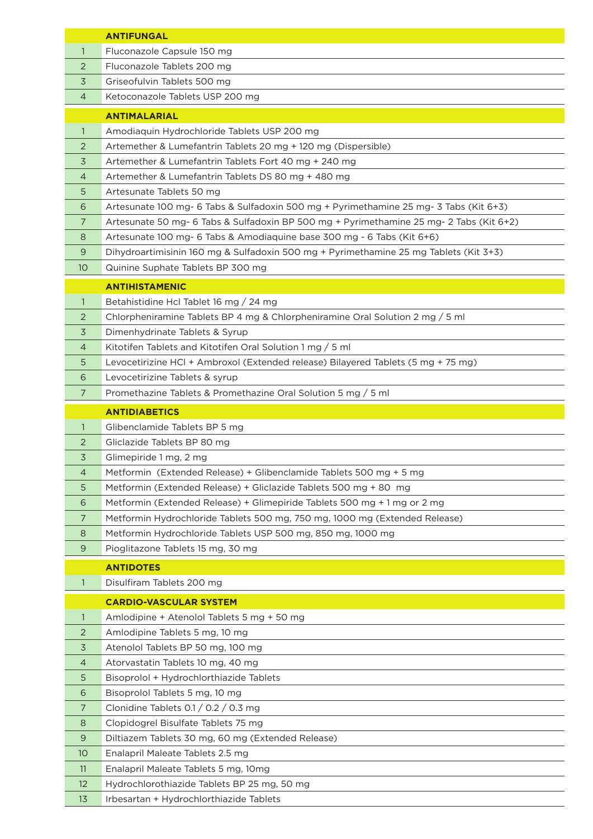|                | <b>ANTIFUNGAL</b>                                                                       |
|----------------|-----------------------------------------------------------------------------------------|
| $\mathbf{1}$   | Fluconazole Capsule 150 mg                                                              |
| 2              | Fluconazole Tablets 200 mg                                                              |
| 3              | Griseofulvin Tablets 500 mg                                                             |
| 4              | Ketoconazole Tablets USP 200 mg                                                         |
|                | <b>ANTIMALARIAL</b>                                                                     |
| 1              | Amodiaquin Hydrochloride Tablets USP 200 mg                                             |
| 2              | Artemether & Lumefantrin Tablets 20 mg + 120 mg (Dispersible)                           |
| 3              | Artemether & Lumefantrin Tablets Fort 40 mg + 240 mg                                    |
| $\overline{4}$ | Artemether & Lumefantrin Tablets DS 80 mg + 480 mg                                      |
| 5              | Artesunate Tablets 50 mg                                                                |
| 6              | Artesunate 100 mg- 6 Tabs & Sulfadoxin 500 mg + Pyrimethamine 25 mg- 3 Tabs (Kit 6+3)   |
| 7              | Artesunate 50 mg- 6 Tabs & Sulfadoxin BP 500 mg + Pyrimethamine 25 mg- 2 Tabs (Kit 6+2) |
| 8              | Artesunate 100 mg- 6 Tabs & Amodiaquine base 300 mg - 6 Tabs (Kit 6+6)                  |
| 9              | Dihydroartimisinin 160 mg & Sulfadoxin 500 mg + Pyrimethamine 25 mg Tablets (Kit 3+3)   |
| 10             | Quinine Suphate Tablets BP 300 mg                                                       |
|                |                                                                                         |
|                | <b>ANTIHISTAMENIC</b>                                                                   |
| $\mathbf{1}$   | Betahistidine Hcl Tablet 16 mg / 24 mg                                                  |
| 2              | Chlorpheniramine Tablets BP 4 mg & Chlorpheniramine Oral Solution 2 mg / 5 ml           |
| 3              | Dimenhydrinate Tablets & Syrup                                                          |
| $\overline{4}$ | Kitotifen Tablets and Kitotifen Oral Solution 1 mg / 5 ml                               |
| 5              | Levocetirizine HCl + Ambroxol (Extended release) Bilayered Tablets (5 mg + 75 mg)       |
| 6              | Levocetirizine Tablets & syrup                                                          |
| 7              | Promethazine Tablets & Promethazine Oral Solution 5 mg / 5 ml                           |
|                | <b>ANTIDIABETICS</b>                                                                    |
| 1              | Glibenclamide Tablets BP 5 mg                                                           |
| 2              | Gliclazide Tablets BP 80 mg                                                             |
| 3              | Glimepiride 1 mg, 2 mg                                                                  |
| $\overline{4}$ | Metformin (Extended Release) + Glibenclamide Tablets 500 mg + 5 mg                      |
| 5              | Metformin (Extended Release) + Gliclazide Tablets 500 mg + 80 mg                        |
| 6              | Metformin (Extended Release) + Glimepiride Tablets 500 mg + 1 mg or 2 mg                |
| 7              | Metformin Hydrochloride Tablets 500 mg, 750 mg, 1000 mg (Extended Release)              |
| 8              | Metformin Hydrochloride Tablets USP 500 mg, 850 mg, 1000 mg                             |
| 9              | Pioglitazone Tablets 15 mg, 30 mg                                                       |
|                | <b>ANTIDOTES</b>                                                                        |
| 1              | Disulfiram Tablets 200 mg                                                               |
|                | <b>CARDIO-VASCULAR SYSTEM</b>                                                           |
| 1              | Amlodipine + Atenolol Tablets 5 mg + 50 mg                                              |
| 2              | Amlodipine Tablets 5 mg, 10 mg                                                          |
| 3              | Atenolol Tablets BP 50 mg, 100 mg                                                       |
| 4              | Atorvastatin Tablets 10 mg, 40 mg                                                       |
| 5              | Bisoprolol + Hydrochlorthiazide Tablets                                                 |
| 6              | Bisoprolol Tablets 5 mg, 10 mg                                                          |
| $\overline{7}$ | Clonidine Tablets 0.1 / 0.2 / 0.3 mg                                                    |
| 8              | Clopidogrel Bisulfate Tablets 75 mg                                                     |
| 9              | Diltiazem Tablets 30 mg, 60 mg (Extended Release)                                       |
| 10             | Enalapril Maleate Tablets 2.5 mg                                                        |
| 11             | Enalapril Maleate Tablets 5 mg, 10mg                                                    |
| 12             | Hydrochlorothiazide Tablets BP 25 mg, 50 mg                                             |
| 13             | Irbesartan + Hydrochlorthiazide Tablets                                                 |